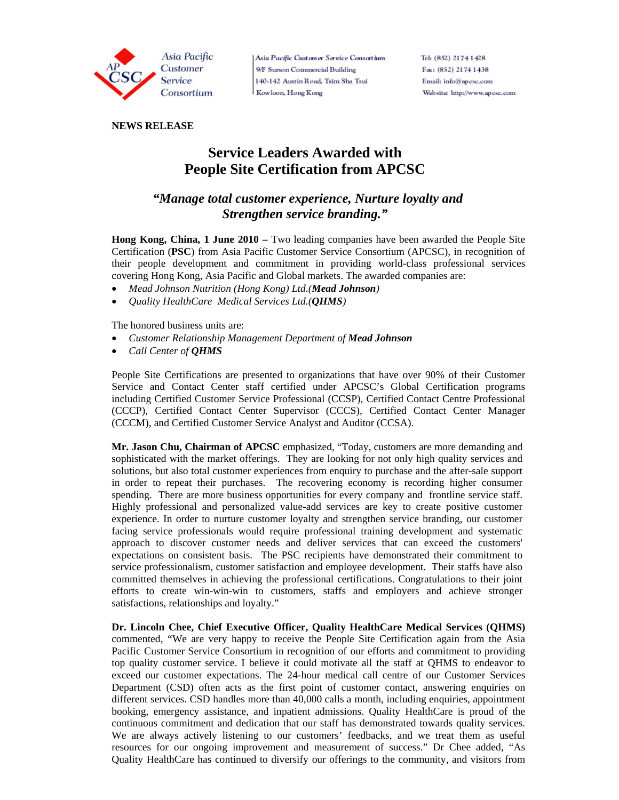

Asia Pacific Customer Service Consortium 9/F Surson Commercial Building 140-142 Austin Road, Tsim Sha Tsui Kowloon, Hong Kong

Tel: (852) 2174 1428 Fax: (852) 2174 1438 Email: info@apcsc.com Website: http://www.apcsc.com

## **NEWS RELEASE**

## **Service Leaders Awarded with People Site Certification from APCSC**

## *"Manage total customer experience, Nurture loyalty and Strengthen service branding."*

**Hong Kong, China, 1 June 2010 –** Two leading companies have been awarded the People Site Certification (**PSC**) from Asia Pacific Customer Service Consortium (APCSC), in recognition of their people development and commitment in providing world-class professional services covering Hong Kong, Asia Pacific and Global markets. The awarded companies are:

- *Mead Johnson Nutrition (Hong Kong) Ltd.(Mead Johnson)*
- *Quality HealthCare Medical Services Ltd.(QHMS)*

The honored business units are:

- *Customer Relationship Management Department of Mead Johnson*
- *Call Center of QHMS*

People Site Certifications are presented to organizations that have over 90% of their Customer Service and Contact Center staff certified under APCSC's Global Certification programs including Certified Customer Service Professional (CCSP), Certified Contact Centre Professional (CCCP), Certified Contact Center Supervisor (CCCS), Certified Contact Center Manager (CCCM), and Certified Customer Service Analyst and Auditor (CCSA).

**Mr. Jason Chu, Chairman of APCSC** emphasized, "Today, customers are more demanding and sophisticated with the market offerings. They are looking for not only high quality services and solutions, but also total customer experiences from enquiry to purchase and the after-sale support in order to repeat their purchases. The recovering economy is recording higher consumer spending. There are more business opportunities for every company and frontline service staff. Highly professional and personalized value-add services are key to create positive customer experience. In order to nurture customer loyalty and strengthen service branding, our customer facing service professionals would require professional training development and systematic approach to discover customer needs and deliver services that can exceed the customers' expectations on consistent basis. The PSC recipients have demonstrated their commitment to service professionalism, customer satisfaction and employee development. Their staffs have also committed themselves in achieving the professional certifications. Congratulations to their joint efforts to create win-win-win to customers, staffs and employers and achieve stronger satisfactions, relationships and loyalty."

**Dr. Lincoln Chee, Chief Executive Officer, Quality HealthCare Medical Services (QHMS)**  commented, "We are very happy to receive the People Site Certification again from the Asia Pacific Customer Service Consortium in recognition of our efforts and commitment to providing top quality customer service. I believe it could motivate all the staff at QHMS to endeavor to exceed our customer expectations. The 24-hour medical call centre of our Customer Services Department (CSD) often acts as the first point of customer contact, answering enquiries on different services. CSD handles more than 40,000 calls a month, including enquiries, appointment booking, emergency assistance, and inpatient admissions. Quality HealthCare is proud of the continuous commitment and dedication that our staff has demonstrated towards quality services. We are always actively listening to our customers' feedbacks, and we treat them as useful resources for our ongoing improvement and measurement of success." Dr Chee added, "As Quality HealthCare has continued to diversify our offerings to the community, and visitors from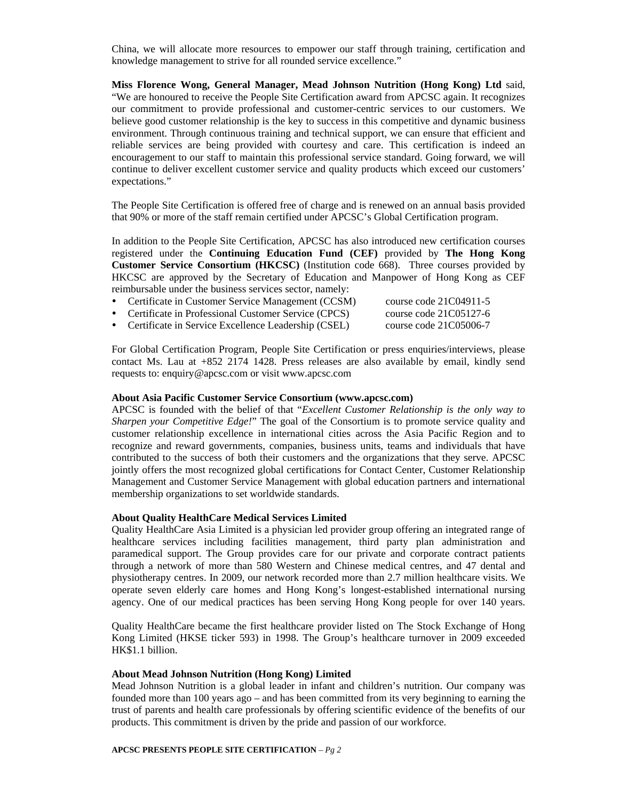China, we will allocate more resources to empower our staff through training, certification and knowledge management to strive for all rounded service excellence."

**Miss Florence Wong, General Manager, Mead Johnson Nutrition (Hong Kong) Ltd** said, "We are honoured to receive the People Site Certification award from APCSC again. It recognizes our commitment to provide professional and customer-centric services to our customers. We believe good customer relationship is the key to success in this competitive and dynamic business environment. Through continuous training and technical support, we can ensure that efficient and reliable services are being provided with courtesy and care. This certification is indeed an encouragement to our staff to maintain this professional service standard. Going forward, we will continue to deliver excellent customer service and quality products which exceed our customers' expectations."

The People Site Certification is offered free of charge and is renewed on an annual basis provided that 90% or more of the staff remain certified under APCSC's Global Certification program.

In addition to the People Site Certification, APCSC has also introduced new certification courses registered under the **Continuing Education Fund (CEF)** provided by **The Hong Kong Customer Service Consortium (HKCSC)** (Institution code 668). Three courses provided by HKCSC are approved by the Secretary of Education and Manpower of Hong Kong as CEF reimbursable under the business services sector, namely:

- Certificate in Customer Service Management (CCSM) course code 21C04911-5
- Certificate in Professional Customer Service (CPCS) course code 21C05127-6 • Certificate in Service Excellence Leadership (CSEL) course code 21C05006-7

For Global Certification Program, People Site Certification or press enquiries/interviews, please contact Ms. Lau at +852 2174 1428. Press releases are also available by email, kindly send requests to: enquiry@apcsc.com or visit www.apcsc.com

#### **About Asia Pacific Customer Service Consortium (www.apcsc.com)**

APCSC is founded with the belief of that "*Excellent Customer Relationship is the only way to Sharpen your Competitive Edge!*" The goal of the Consortium is to promote service quality and customer relationship excellence in international cities across the Asia Pacific Region and to recognize and reward governments, companies, business units, teams and individuals that have contributed to the success of both their customers and the organizations that they serve. APCSC jointly offers the most recognized global certifications for Contact Center, Customer Relationship Management and Customer Service Management with global education partners and international membership organizations to set worldwide standards.

### **About Quality HealthCare Medical Services Limited**

Quality HealthCare Asia Limited is a physician led provider group offering an integrated range of healthcare services including facilities management, third party plan administration and paramedical support. The Group provides care for our private and corporate contract patients through a network of more than 580 Western and Chinese medical centres, and 47 dental and physiotherapy centres. In 2009, our network recorded more than 2.7 million healthcare visits. We operate seven elderly care homes and Hong Kong's longest-established international nursing agency. One of our medical practices has been serving Hong Kong people for over 140 years.

Quality HealthCare became the first healthcare provider listed on The Stock Exchange of Hong Kong Limited (HKSE ticker 593) in 1998. The Group's healthcare turnover in 2009 exceeded HK\$1.1 billion.

#### **About Mead Johnson Nutrition (Hong Kong) Limited**

Mead Johnson Nutrition is a global leader in infant and children's nutrition. Our company was founded more than 100 years ago – and has been committed from its very beginning to earning the trust of parents and health care professionals by offering scientific evidence of the benefits of our products. This commitment is driven by the pride and passion of our workforce.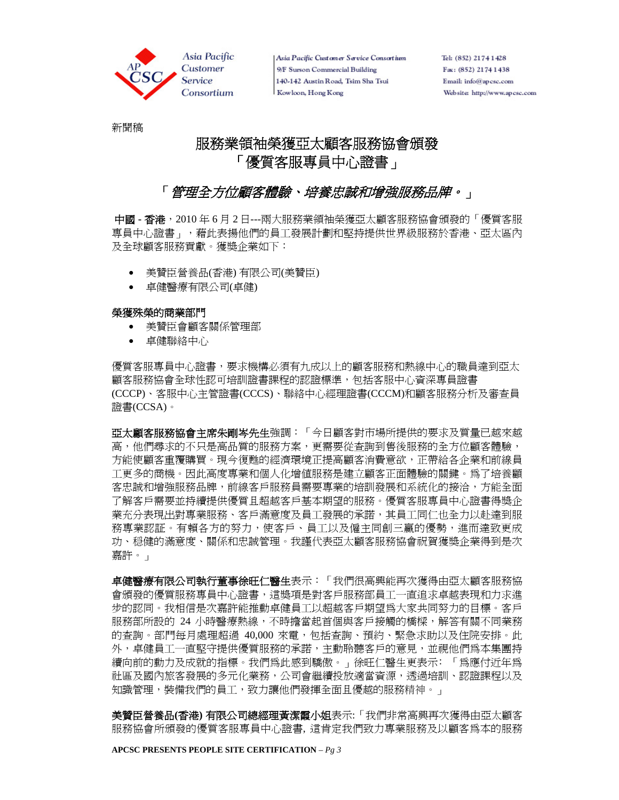

Asia Pacific Customer Service Consortium 9/F Surson Commercial Building 140-142 Austin Road, Tsim Sha Tsui Kowloon, Hong Kong

Tel: (852) 2174 1428 Fax: (852) 2174 1438 Email: info@apcsc.com Website: http://www.apcsc.com

新聞稿

# 服務業領袖榮獲亞太顧客服務協會頒發 「優質客服專員中心證書」

# 「*管理全方位顧客體驗、培養忠誠和增強服務品牌。」*

中國 **-** 香港,2010 年 6 月 2 日---兩大服務業領袖榮獲亞太顧客服務協會頒發的「優質客服 專員中心證書」,藉此表揚他們的員工發展計劃和堅持提供世界級服務於香港、亞太區內 及全球顧客服務貢獻。獲獎企業如下:

- 美贊臣營養品(香港) 有限公司(美贊臣)
- 卓健醫療有限公司(卓健)

## 榮獲殊榮的商業部門

- 美贊臣會顧客關係管理部
- 卓健聯絡中心

優質客服專員中心證書,要求機構必須有九成以上的顧客服務和熱線中心的職員達到亞太 顧客服務協會全球性認可培訓證書課程的認證標準,包括客服中心資深專員證書 (CCCP)、客服中心主管證書(CCCS)、聯絡中心經理證書(CCCM)和顧客服務分析及審查員 證書(CCSA)。

亞太顧客服務協會主席朱剛岑先生強調:「今日顧客對市場所提供的要求及質量已越來越 高,他們尋求的不只是高品質的服務方案,更需要從查詢到售後服務的全方位顧客體驗, 方能使顧客重覆購買。現今復甦的經濟環境正提高顧客消費意欲,正帶給各企業和前線員 工更多的商機。因此高度專業和個人化增值服務是建立顧客正面體驗的關鍵。為了培養顧 客忠誠和增強服務品牌,前線客戶服務員需要專業的培訓發展和系統化的接洽,方能全面 了解客戶需要並持續提供優質且超越客戶基本期望的服務。優質客服專員中心證書得獎企 業充分表現出對專業服務、客戶滿意度及員工發展的承諾,其員工同仁也全力以赴達到服 務專業認証。有賴各方的努力,使客戶、員工以及僱主同創三贏的優勢,進而達致更成 功、穏健的滿意度、關係和忠誠管理。我謹代表亞太顧客服務協會祝賀獲獎企業得到是次 嘉許。」

卓**健醫療有限公司執行董事徐旺仁醫生**表示: 「我們很高興能再次獲得由亞太顧客服務協 會頒發的優質服務專員中心證書,這獎項是對客戶服務部員工一直追求卓越表現和力求進 步的認同。我相信是次嘉許能推動卓健員工以超越客戶期望為大家共同努力的目標。客戶 服務部所設的 24 小時醫療熱線,不時擔當起首個與客戶接觸的橋樑,解答有關不同業務 的查詢。部門每月處理超過 40,000 來電,包括查詢、預約、緊急求助以及住院安排。此 外,卓健員工一直堅守提供優質服務的承諾,主動聆聽客戶的意見,並視他們為本集團持 續向前的動力及成就的指標。我們為此感到驕傲。」徐旺仁醫生更表示﹕「為應付近年為 社區及國內旅客發展的多元化業務,公司會繼續投放適當資源,透過培訓、認證課程以及 知識管理,裝備我們的員工,致力讓他們發揮全面且優越的服務精神。 」

美贊臣營養品**(**香港**)** 有限公司總經理黃潔霞小姐表示:「我們非常高興再次獲得由亞太顧客 服務協會所頒發的優質客服專員中心證書, 這肯定我們致力專業服務及以顧客為本的服務